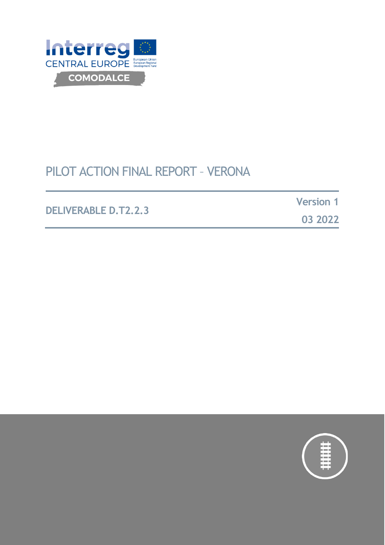

# PILOT ACTION FINAL REPORT – VERONA

DELIVERABLE D.T1.3.1

### **DELIVERABLE D.T2.2.3**

**Version 1**

**03 2022**

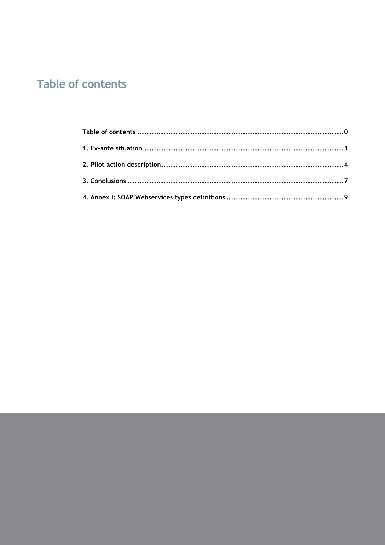# <span id="page-1-0"></span>**Table of contents**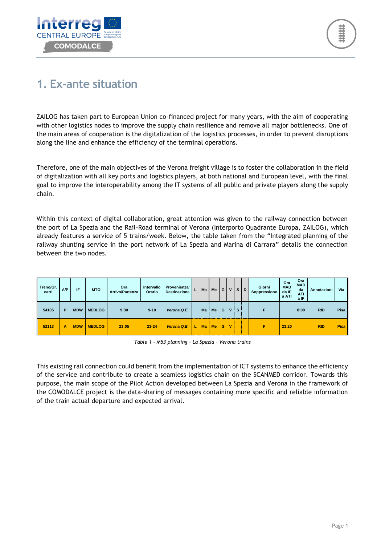



## <span id="page-2-0"></span>**1. Ex-ante situation**

ZAILOG has taken part to European Union co-financed project for many years, with the aim of cooperating with other logistics nodes to improve the supply chain resilience and remove all major bottlenecks. One of the main areas of cooperation is the digitalization of the logistics processes, in order to prevent disruptions along the line and enhance the efficiency of the terminal operations.

Therefore, one of the main objectives of the Verona freight village is to foster the collaboration in the field of digitalization with all key ports and logistics players, at both national and European level, with the final goal to improve the interoperability among the IT systems of all public and private players along the supply chain.

Within this context of digital collaboration, great attention was given to the railway connection between the port of La Spezia and the Rail-Road terminal of Verona (Interporto Quadrante Europa, ZAILOG), which already features a service of 5 trains/week. Below, the table taken from the "Integrated planning of the railway shunting service in the port network of La Spezia and Marina di Carrara" details the connection between the two nodes.

| Treno/Gr.<br>carri | A/P | IF         | <b>MTO</b>    | Ora<br>Arrivo/Partenza | Intervallo<br>Orario | Provenienza/<br><b>Destinazione</b> | ъ. | Ma        | $Me$ $G$  |   |             | <b>VISID</b> | Giorni<br>Soppressione | Ora<br><b>MAD</b><br>da IF<br>a ATI | Ora<br><b>MAD</b><br>da<br><b>ATI</b><br>a IF | Annotazioni | Via         |
|--------------------|-----|------------|---------------|------------------------|----------------------|-------------------------------------|----|-----------|-----------|---|-------------|--------------|------------------------|-------------------------------------|-----------------------------------------------|-------------|-------------|
| 54105              | P   | <b>MDW</b> | <b>MEDLOG</b> | 9:30                   | $9 - 10$             | Verona Q.E.                         |    | Ma        | Me        | G | $\mathbf v$ | S.           |                        |                                     | 8:00                                          | <b>RID</b>  | Pisa        |
| 52113              | A   | <b>MDW</b> | <b>MEDLOG</b> | 23:05                  | $23 - 24$            | Verona Q.E.                         |    | <b>Ma</b> | <b>Me</b> | G | ۱v          |              |                        | 23:20                               |                                               | <b>RID</b>  | <b>Pisa</b> |

*Table 1 - M53 planning – La Spezia – Verona trains*

This existing rail connection could benefit from the implementation of ICT systems to enhance the efficiency of the service and contribute to create a seamless logistics chain on the SCANMED corridor. Towards this purpose, the main scope of the Pilot Action developed between La Spezia and Verona in the framework of the COMODALCE project is the data-sharing of messages containing more specific and reliable information of the train actual departure and expected arrival.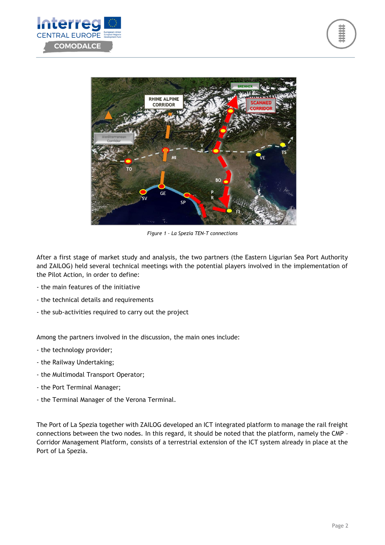



*Figure 1 – La Spezia TEN-T connections*

After a first stage of market study and analysis, the two partners (the Eastern Ligurian Sea Port Authority and ZAILOG) held several technical meetings with the potential players involved in the implementation of the Pilot Action, in order to define:

- the main features of the initiative
- the technical details and requirements
- the sub-activities required to carry out the project

Among the partners involved in the discussion, the main ones include:

- the technology provider;
- the Railway Undertaking;
- the Multimodal Transport Operator;
- the Port Terminal Manager;
- the Terminal Manager of the Verona Terminal.

The Port of La Spezia together with ZAILOG developed an ICT integrated platform to manage the rail freight connections between the two nodes. In this regard, it should be noted that the platform, namely the CMP – Corridor Management Platform, consists of a terrestrial extension of the ICT system already in place at the Port of La Spezia.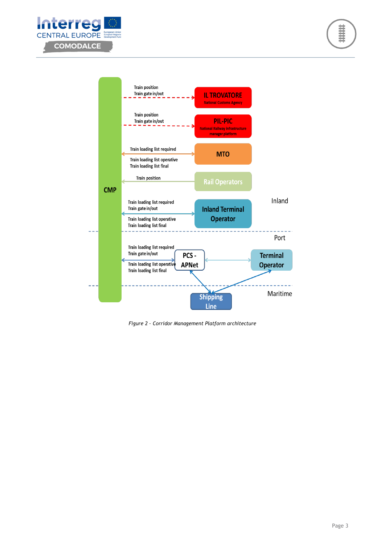





*Figure 2 – Corridor Management Platform architecture*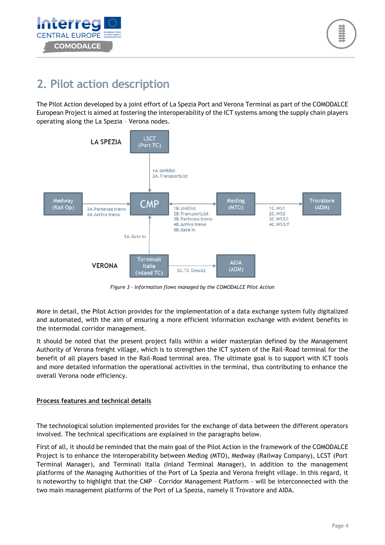



## <span id="page-5-0"></span>**2. Pilot action description**

The Pilot Action developed by a joint effort of La Spezia Port and Verona Terminal as part of the COMODALCE European Project is aimed at fostering the interoperability of the ICT systems among the supply chain players operating along the La Spezia – Verona nodes.



*Figure 3 – Information flows managed by the COMODALCE Pilot Action*

More in detail, the Pilot Action provides for the implementation of a data exchange system fully digitalized and automated, with the aim of ensuring a more efficient information exchange with evident benefits in the intermodal corridor management.

It should be noted that the present project falls within a wider masterplan defined by the Management Authority of Verona freight village, which is to strengthen the ICT system of the Rail-Road terminal for the benefit of all players based in the Rail-Road terminal area. The ultimate goal is to support with ICT tools and more detailed information the operational activities in the terminal, thus contributing to enhance the overall Verona node efficiency.

#### **Process features and technical details**

The technological solution implemented provides for the exchange of data between the different operators involved. The technical specifications are explained in the paragraphs below.

First of all, it should be reminded that the main goal of the Pilot Action in the framework of the COMODALCE Project is to enhance the interoperability between Medlog (MTO), Medway (Railway Company), LCST (Port Terminal Manager), and Terminali Italia (Inland Terminal Manager), in addition to the management platforms of the Managing Authorities of the Port of La Spezia and Verona freight village. In this regard, it is noteworthy to highlight that the CMP – Corridor Management Platform - will be interconnected with the two main management platforms of the Port of La Spezia, namely Il Trovatore and AIDA.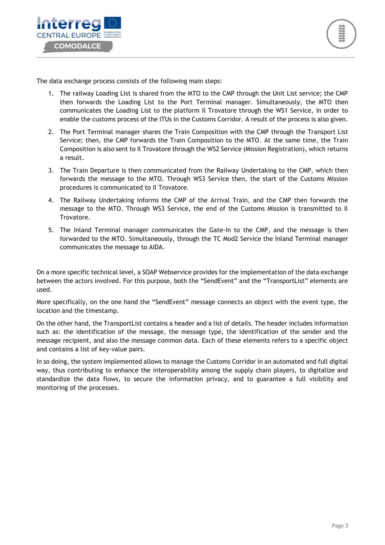



The data exchange process consists of the following main steps:

- 1. The railway Loading List is shared from the MTO to the CMP through the Unit List service; the CMP then forwards the Loading List to the Port Terminal manager. Simultaneously, the MTO then communicates the Loading List to the platform Il Trovatore through the WS1 Service, in order to enable the customs process of the ITUs in the Customs Corridor. A result of the process is also given.
- 2. The Port Terminal manager shares the Train Composition with the CMP through the Transport List Service; then, the CMP forwards the Train Composition to the MTO. At the same time, the Train Composition is also sent to Il Trovatore through the WS2 Service (Mission Registration), which returns a result.
- 3. The Train Departure is then communicated from the Railway Undertaking to the CMP, which then forwards the message to the MTO. Through WS3 Service then, the start of the Customs Mission procedures is communicated to Il Trovatore.
- 4. The Railway Undertaking informs the CMP of the Arrival Train, and the CMP then forwards the message to the MTO. Through WS3 Service, the end of the Customs Mission is transmitted to Il Trovatore.
- 5. The Inland Terminal manager communicates the Gate-In to the CMP, and the message is then forwarded to the MTO. Simultaneously, through the TC Mod2 Service the Inland Terminal manager communicates the message to AIDA.

On a more specific technical level, a SOAP Webservice provides for the implementation of the data exchange between the actors involved. For this purpose, both the "SendEvent" and the "TransportList" elements are used.

More specifically, on the one hand the "SendEvent" message connects an object with the event type, the location and the timestamp.

On the other hand, the TransportList contains a header and a list of details. The header includes information such as: the identification of the message, the message type, the identification of the sender and the message recipient, and also the message common data. Each of these elements refers to a specific object and contains a list of key-value pairs.

In so doing, the system implemented allows to manage the Customs Corridor in an automated and full digital way, thus contributing to enhance the interoperability among the supply chain players, to digitalize and standardize the data flows, to secure the information privacy, and to guarantee a full visibility and monitoring of the processes.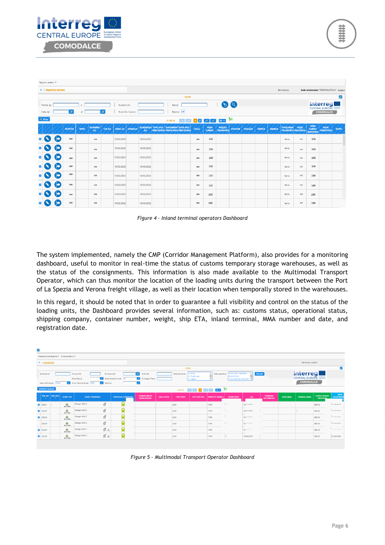

|           | Registro estero ·                                                                             |                                                                        |                |            |                     |               |                        |  |                                |  |  |                                                                  |           |                             |                                  |                |                |              |              |                                               |       |                                                |                                 |             |
|-----------|-----------------------------------------------------------------------------------------------|------------------------------------------------------------------------|----------------|------------|---------------------|---------------|------------------------|--|--------------------------------|--|--|------------------------------------------------------------------|-----------|-----------------------------|----------------------------------|----------------|----------------|--------------|--------------|-----------------------------------------------|-------|------------------------------------------------|---------------------------------|-------------|
|           | <sup>△</sup> <b>REGISTRO ESTERO</b><br>Sede selezionata: TERMINALIITALIA Logout<br>Benvenuto. |                                                                        |                |            |                     |               |                        |  |                                |  |  |                                                                  |           |                             |                                  |                |                |              |              |                                               |       |                                                |                                 |             |
|           | <b>FILTRI</b><br>۳                                                                            |                                                                        |                |            |                     |               |                        |  |                                |  |  |                                                                  |           |                             |                                  |                |                |              |              |                                               |       |                                                |                                 |             |
|           | Partita: da                                                                                   | <b>Interreg</b><br>$\bullet$ a<br>Numero A3:<br>Marca:<br>$\mathbf{a}$ |                |            |                     |               |                        |  |                                |  |  |                                                                  |           |                             |                                  |                |                |              |              |                                               |       |                                                |                                 |             |
|           | Data dal                                                                                      | Residui:<br>Ø.<br>Num Doc Scarico:<br>al                               |                |            |                     |               |                        |  |                                |  |  |                                                                  | COMODALCE |                             |                                  |                |                |              |              |                                               |       |                                                |                                 |             |
|           | پي<br>$+ Crea$<br>$50 \vee$<br>$\sqrt{2}$<br><b>SAN</b><br><b>Sec</b><br>$(1$ OF 2)<br>a.     |                                                                        |                |            |                     |               |                        |  |                                |  |  |                                                                  |           |                             |                                  |                |                |              |              |                                               |       |                                                |                                 |             |
|           |                                                                                               |                                                                        | <b>PARTITA</b> | <b>MRN</b> | <b>NUMERO</b><br>A3 | <b>CIN A3</b> | <b>DATA A3 SINGOLO</b> |  | <b>SCADENZA TIPO DOC</b><br>A3 |  |  | <b>DOCUMENT DATA DOC</b><br><b>PRECEDENT PRECEDENT PRECEDENT</b> | COLLI     | <b>PESO</b><br><b>LORDO</b> | <b>MEZZO</b><br><b>TRASPORTO</b> | <b>ORIGINE</b> | <b>POLIZZA</b> | <b>MERCE</b> | <b>MARCA</b> | <b>TIPOLOGIA</b><br><b>TRASPORTO GIACENZA</b> | PEZZI | <b>PESO</b><br><b>LORDO</b><br><b>GIACENZA</b> | <b>DATA</b><br><b>REGISTRAZ</b> | <b>NOTE</b> |
|           |                                                                                               |                                                                        | nnn            |            | nn                  |               | 15/02/2022             |  | 16/05/2022                     |  |  |                                                                  | nn        | 100                         |                                  |                |                |              |              | terra                                         | nn    | 100                                            |                                 |             |
|           |                                                                                               |                                                                        | nnn            |            | nn                  |               | 15/02/2022             |  | 16/05/2022                     |  |  |                                                                  | nn        | 100                         |                                  |                |                |              |              | terra                                         | nn    | 100                                            |                                 |             |
|           |                                                                                               |                                                                        | nnn            |            | nn                  |               | 15/02/2022             |  | 16/05/2022                     |  |  |                                                                  | nn        | 100                         |                                  |                |                |              |              | terra                                         | nn    | 100                                            |                                 |             |
| Ω         |                                                                                               |                                                                        | nnn            |            | nn                  |               | 15/02/2022             |  | 16/05/2022                     |  |  |                                                                  | nn        | 100                         |                                  |                |                |              |              | terra                                         | nn    | 100                                            |                                 |             |
| Ω         |                                                                                               |                                                                        | nnn            |            | nn                  |               | 15/02/2022             |  | 16/05/2022                     |  |  |                                                                  | nn        | 100                         |                                  |                |                |              |              | terra                                         | nn    | 100                                            |                                 |             |
|           |                                                                                               |                                                                        | nnn            |            | nn                  |               | 15/02/2022             |  | 16/05/2022                     |  |  |                                                                  | nn        | 100                         |                                  |                |                |              |              | terra                                         | nn    | 100                                            |                                 |             |
|           |                                                                                               |                                                                        | nnn            |            | nn.                 |               | 15/02/2022             |  | 16/05/2022                     |  |  |                                                                  | nn        | 100                         |                                  |                |                |              |              | terra                                         | nn    | 100                                            |                                 |             |
| $\bullet$ |                                                                                               |                                                                        | nnn            |            | nn                  |               | 15/02/2022             |  | 16/05/2022                     |  |  |                                                                  | nn        | 100                         |                                  |                |                |              |              | terra                                         | nn    | 100                                            |                                 |             |

*Figure 4 – Inland terminal operators Dashboard*

The system implemented, namely the CMP (Corridor Management Platform), also provides for a monitoring dashboard, useful to monitor in real-time the status of customs temporary storage warehouses, as well as the status of the consignments. This information is also made available to the Multimodal Transport Operator, which can thus monitor the location of the loading units during the transport between the Port of La Spezia and Verona freight village, as well as their location when temporally stored in the warehouses.

In this regard, it should be noted that in order to guarantee a full visibility and control on the status of the loading units, the Dashboard provides several information, such as: customs status, operational status, shipping company, container number, weight, ship ETA, inland terminal, MMA number and date, and registration date.

| b,        |                                                                                                                                                                                                                                                                                                                                                                                                                                                                   |                   |                          |                        |                           |                            |                                           |                   |                  |             |                        |           |                          |                                      |                 |                    |                                          |                                   |
|-----------|-------------------------------------------------------------------------------------------------------------------------------------------------------------------------------------------------------------------------------------------------------------------------------------------------------------------------------------------------------------------------------------------------------------------------------------------------------------------|-------------------|--------------------------|------------------------|---------------------------|----------------------------|-------------------------------------------|-------------------|------------------|-------------|------------------------|-----------|--------------------------|--------------------------------------|-----------------|--------------------|------------------------------------------|-----------------------------------|
|           | Procedure di emergenza · Milos eCustoms ·                                                                                                                                                                                                                                                                                                                                                                                                                         |                   |                          |                        |                           |                            |                                           |                   |                  |             |                        |           |                          |                                      |                 |                    |                                          |                                   |
|           | <b><del><sup><sup>1</sup></sup></del> ▶ DASHBOARD</b>                                                                                                                                                                                                                                                                                                                                                                                                             |                   |                          |                        |                           |                            |                                           |                   |                  |             |                        |           |                          |                                      |                 | Benvenuto, support |                                          |                                   |
|           | <b>FILTRI</b>                                                                                                                                                                                                                                                                                                                                                                                                                                                     |                   |                          |                        |                           |                            |                                           |                   |                  |             |                        |           | $\overline{\phantom{a}}$ |                                      |                 |                    |                                          |                                   |
|           | Interregl<br>Flusso Arrivi importato<br>In Arrivo<br>Refresh<br>Id Uirnet:<br>Stato Container:<br>Numero A3:<br>$\blacksquare$<br>Stato operativo:<br>Id Container:<br>Emissione A3:<br>In TC portuale<br><b>ETA-ATA PCS</b><br><b>CENTRAL EUROPE</b><br>Quadrimestrall inviati<br>D Viaggio Treno:<br>Porto Sbarco:<br>No<br>Flusso Booking importato<br>In viaggio<br>COMODALCE<br>Anno riferimento: dal 2022<br>v Warning<br>Mese riferimento: Marzo<br>$\sim$ |                   |                          |                        |                           |                            |                                           |                   |                  |             |                        |           |                          |                                      |                 |                    |                                          |                                   |
|           | $(10F1)$ and $(15F1)$ and $(10F1)$ $M$<br><b>Gestione Garanzia</b>                                                                                                                                                                                                                                                                                                                                                                                                |                   |                          |                        |                           |                            |                                           |                   |                  |             |                        |           |                          |                                      |                 |                    |                                          |                                   |
|           |                                                                                                                                                                                                                                                                                                                                                                                                                                                                   | PRG INT   PRG DOG | <b>STATO CTR</b>         | <b>STATO OPERATIVO</b> |                           | <b>TIPOLOGIA CORRIDOIO</b> | <b>COMPAGNIA DI</b><br><b>NAVIGAZIONE</b> | <b>SIGLA CNTR</b> | <b>TIPO CNTR</b> | LETTUTA OCR | <b>PORTO DI SBARCO</b> | NOME NAVE | ETA                      | <b>TERMINAL</b><br><b>INTERMEDIO</b> | <b>DATA MMA</b> | <b>NUMERO MMA</b>  | <b>CODICE UFFICIO</b><br><b>FMISSION</b> | <b>DATA</b><br><b>REGISTRAZIO</b> |
| $\bullet$ | 2022/1                                                                                                                                                                                                                                                                                                                                                                                                                                                            |                   | m<br>In TC Fisico        | Dialogo AIDA C         | $\hat{\mathcal{U}}$       |                            |                                           |                   | 2200             |             | <b>ITSPE</b>           | ı.        | 10/01/2010               |                                      |                 |                    | 068100                                   | <b>Intima mona</b>                |
| $\bullet$ | 2022/2                                                                                                                                                                                                                                                                                                                                                                                                                                                            |                   | m<br>In TC Fisico        | Dialogo AIDA C         | $\hat{\mathcal{U}}$       | g                          |                                           |                   | 2200             |             | <b>ITSPE</b>           | ۰.        | 19/01/2018               |                                      |                 |                    | 068100                                   | <b>ALIAS ISASS</b>                |
| $\bullet$ | 2022/3                                                                                                                                                                                                                                                                                                                                                                                                                                                            |                   | G)<br>In TC Fisico       | Dialogo AIDA C         | $\hat{z}$                 | ġ                          |                                           |                   | 2200             |             | <b>ITSPE</b>           |           | 19/hr/hnce               |                                      |                 |                    | 068100                                   | ACAR HARR                         |
|           | 2022/4                                                                                                                                                                                                                                                                                                                                                                                                                                                            |                   | - 7<br>m<br>In TC Fisico | Dialogo AIDA C         | $\hat{\mathcal{U}}$       | ø                          |                                           |                   | 2200             |             | <b>ITSPE</b>           |           | 19/hr main               |                                      |                 |                    | 068100                                   | <b>ALIAN MASS</b>                 |
| $\bullet$ | 2022/5                                                                                                                                                                                                                                                                                                                                                                                                                                                            |                   | m<br>In TC Fisico        | Dialogo AIDA C         | $\hat{u}$ $\triangle$     | Ó<br>∼                     |                                           |                   | 2200             |             | <b>ITSPE</b>           |           | 19/11/11/1               |                                      |                 |                    | 068100                                   | ---------                         |
|           | 2022/6                                                                                                                                                                                                                                                                                                                                                                                                                                                            |                   | m<br>In TC Fisico        | Dialogo AIDA C         | $\mathcal{B}$ $\triangle$ | 負                          |                                           |                   | 2200             |             | <b>ITSPE</b>           |           | 19/06/2019               |                                      |                 |                    | 068100                                   | 01/03/2022                        |

*Figure 5 – Multimodal Transport Operator Dashboard*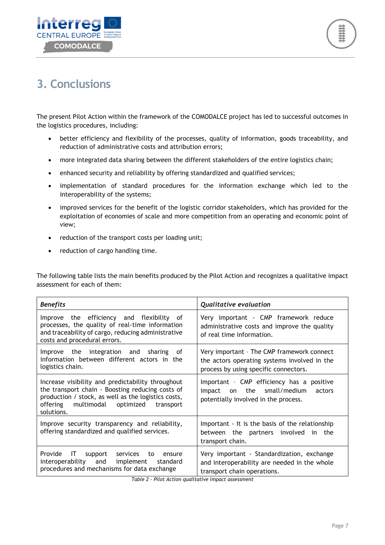



## <span id="page-8-0"></span>**3. Conclusions**

The present Pilot Action within the framework of the COMODALCE project has led to successful outcomes in the logistics procedures, including:

- better efficiency and flexibility of the processes, quality of information, goods traceability, and reduction of administrative costs and attribution errors;
- more integrated data sharing between the different stakeholders of the entire logistics chain;
- enhanced security and reliability by offering standardized and qualified services;
- implementation of standard procedures for the information exchange which led to the interoperability of the systems;
- improved services for the benefit of the logistic corridor stakeholders, which has provided for the exploitation of economies of scale and more competition from an operating and economic point of view;
- reduction of the transport costs per loading unit;
- reduction of cargo handling time.

The following table lists the main benefits produced by the Pilot Action and recognizes a qualitative impact assessment for each of them:

| <b>Benefits</b>                                                                                                                                                                                                             | <b>Qualitative evaluation</b>                                                                                                       |  |  |  |  |  |
|-----------------------------------------------------------------------------------------------------------------------------------------------------------------------------------------------------------------------------|-------------------------------------------------------------------------------------------------------------------------------------|--|--|--|--|--|
| Improve the efficiency and flexibility of<br>processes, the quality of real-time information<br>and traceability of cargo, reducing administrative<br>costs and procedural errors.                                          | Very important - CMP framework reduce<br>administrative costs and improve the quality<br>of real time information.                  |  |  |  |  |  |
| Improve the integration and sharing of<br>information between different actors in the<br>logistics chain.                                                                                                                   | Very important - The CMP framework connect<br>the actors operating systems involved in the<br>process by using specific connectors. |  |  |  |  |  |
| Increase visibility and predictability throughout<br>the transport chain - Boosting reducing costs of<br>production / stock, as well as the logistics costs,<br>multimodal optimized<br>offering<br>transport<br>solutions. | Important - CMP efficiency has a positive<br>the small/medium<br>impact<br>actors<br>on<br>potentially involved in the process.     |  |  |  |  |  |
| Improve security transparency and reliability,<br>offering standardized and qualified services.                                                                                                                             | Important - It is the basis of the relationship<br>between the partners involved in<br>the<br>transport chain.                      |  |  |  |  |  |
| Provide<br>IT<br>support services<br>to<br>ensure<br>interoperability and implement standard<br>procedures and mechanisms for data exchange                                                                                 | Very important - Standardization, exchange<br>and interoperability are needed in the whole<br>transport chain operations.           |  |  |  |  |  |

*Table 2 – Pilot Action qualitative impact assessment*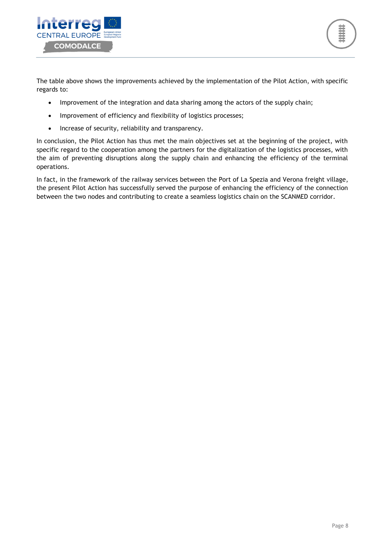

The table above shows the improvements achieved by the implementation of the Pilot Action, with specific regards to:

- Improvement of the integration and data sharing among the actors of the supply chain;
- Improvement of efficiency and flexibility of logistics processes;
- Increase of security, reliability and transparency.

In conclusion, the Pilot Action has thus met the main objectives set at the beginning of the project, with specific regard to the cooperation among the partners for the digitalization of the logistics processes, with the aim of preventing disruptions along the supply chain and enhancing the efficiency of the terminal operations.

In fact, in the framework of the railway services between the Port of La Spezia and Verona freight village, the present Pilot Action has successfully served the purpose of enhancing the efficiency of the connection between the two nodes and contributing to create a seamless logistics chain on the SCANMED corridor.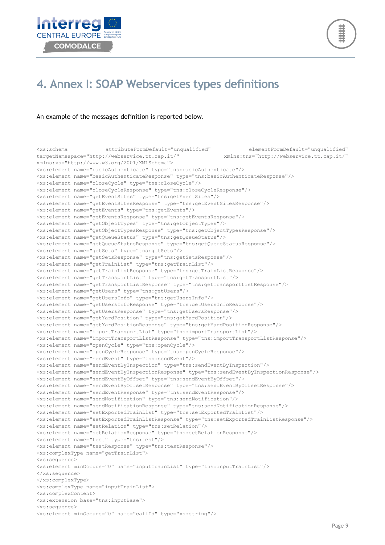



### <span id="page-10-0"></span>**4. Annex I: SOAP Webservices types definitions**

#### An example of the messages definition is reported below.

<xs:schema attributeFormDefault="unqualified" elementFormDefault="unqualified" targetNamespace="http://webservice.tt.cap.it/" xmlns:tns="http://webservice.tt.cap.it/" xmlns:xs="http://www.w3.org/2001/XMLSchema"> <xs:element name="basicAuthenticate" type="tns:basicAuthenticate"/> <xs:element name="basicAuthenticateResponse" type="tns:basicAuthenticateResponse"/> <xs:element name="closeCycle" type="tns:closeCycle"/> <xs:element name="closeCycleResponse" type="tns:closeCycleResponse"/> <xs:element name="getEventSites" type="tns:getEventSites"/> <xs:element name="getEventSitesResponse" type="tns:getEventSitesResponse"/> <xs:element name="getEvents" type="tns:getEvents"/> <xs:element name="getEventsResponse" type="tns:getEventsResponse"/> <xs:element name="getObjectTypes" type="tns:getObjectTypes"/> <xs:element name="getObjectTypesResponse" type="tns:getObjectTypesResponse"/> <xs:element name="getQueueStatus" type="tns:getQueueStatus"/> <xs:element name="getQueueStatusResponse" type="tns:getQueueStatusResponse"/> <xs:element name="getSets" type="tns:getSets"/> <xs:element name="getSetsResponse" type="tns:getSetsResponse"/> <xs:element name="getTrainList" type="tns:getTrainList"/> <xs:element name="getTrainListResponse" type="tns:getTrainListResponse"/> <xs:element name="getTransportList" type="tns:getTransportList"/> <xs:element name="getTransportListResponse" type="tns:getTransportListResponse"/> <xs:element name="getUsers" type="tns:getUsers"/> <xs:element name="getUsersInfo" type="tns:getUsersInfo"/> <xs:element name="getUsersInfoResponse" type="tns:getUsersInfoResponse"/> <xs:element name="getUsersResponse" type="tns:getUsersResponse"/> <xs:element name="getYardPosition" type="tns:getYardPosition"/> <xs:element name="getYardPositionResponse" type="tns:getYardPositionResponse"/> <xs:element name="importTransportList" type="tns:importTransportList"/> <xs:element name="importTransportListResponse" type="tns:importTransportListResponse"/> <xs:element name="openCycle" type="tns:openCycle"/> <xs:element name="openCycleResponse" type="tns:openCycleResponse"/> <xs:element name="sendEvent" type="tns:sendEvent"/> <xs:element name="sendEventByInspection" type="tns:sendEventByInspection"/> <xs:element name="sendEventByInspectionResponse" type="tns:sendEventByInspectionResponse"/> <xs:element name="sendEventByOffset" type="tns:sendEventByOffset"/> <xs:element name="sendEventByOffsetResponse" type="tns:sendEventByOffsetResponse"/> <xs:element name="sendEventResponse" type="tns:sendEventResponse"/> <xs:element name="sendNotification" type="tns:sendNotification"/> <xs:element name="sendNotificationResponse" type="tns:sendNotificationResponse"/> <xs:element name="setExportedTrainList" type="tns:setExportedTrainList"/> <xs:element name="setExportedTrainListResponse" type="tns:setExportedTrainListResponse"/> <xs:element name="setRelation" type="tns:setRelation"/> <xs:element name="setRelationResponse" type="tns:setRelationResponse"/> <xs:element name="test" type="tns:test"/> <xs:element name="testResponse" type="tns:testResponse"/> <xs:complexType name="getTrainList"> <xs:sequence> <xs:element minOccurs="0" name="inputTrainList" type="tns:inputTrainList"/> </xs:sequence> </xs:complexType> <xs:complexType name="inputTrainList"> <xs:complexContent> <xs:extension base="tns:inputBase"> <xs:sequence> <xs:element minOccurs="0" name="callId" type="xs:string"/>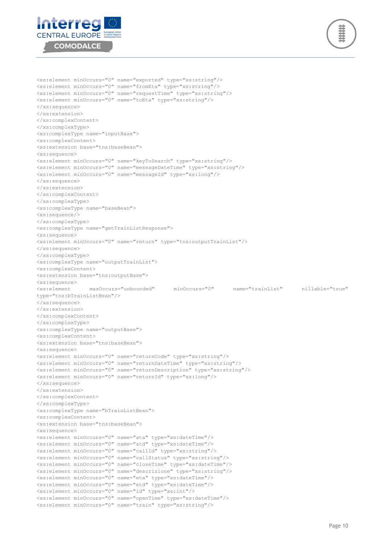



<xs:element minOccurs="0" name="exported" type="xs:string"/> <xs:element minOccurs="0" name="fromEta" type="xs:string"/> <xs:element minOccurs="0" name="requestTime" type="xs:string"/> <xs:element minOccurs="0" name="toEta" type="xs:string"/> </xs:sequence> </xs:extension> </xs:complexContent> </xs:complexType> <xs:complexType name="inputBase"> <xs:complexContent> <xs:extension base="tns:baseBean"> <xs:sequence> <xs:element minOccurs="0" name="keyToSearch" type="xs:string"/> <xs:element minOccurs="0" name="messageDateTime" type="xs:string"/> <xs:element minOccurs="0" name="messageId" type="xs:long"/> </xs:sequence> </xs:extension> </xs:complexContent> </xs:complexType> <xs:complexType name="baseBean"> <xs:sequence/> </xs:complexType> <xs:complexType name="getTrainListResponse"> <xs:sequence> <xs:element minOccurs="0" name="return" type="tns:outputTrainList"/> </xs:sequence> </xs:complexType> <xs:complexType name="outputTrainList"> <xs:complexContent> <xs:extension base="tns:outputBase"> <xs:sequence> <xs:element maxOccurs="unbounded" minOccurs="0" name="trainList" nillable="true" type="tns:bTrainListBean"/> </xs:sequence> </xs:extension> </xs:complexContent> </xs:complexType> <xs:complexType name="outputBase"> <xs:complexContent> <xs:extension base="tns:baseBean"> <xs:sequence> <xs:element minOccurs="0" name="returnCode" type="xs:string"/> <xs:element minOccurs="0" name="returnDateTime" type="xs:string"/> <xs:element minOccurs="0" name="returnDescription" type="xs:string"/> <xs:element minOccurs="0" name="returnId" type="xs:long"/> </xs:sequence> </xs:extension> </xs:complexContent> </xs:complexType> <xs:complexType name="bTrainListBean"> <xs:complexContent> <xs:extension base="tns:baseBean"> <xs:sequence> <xs:element minOccurs="0" name="ata" type="xs:dateTime"/> <xs:element minOccurs="0" name="atd" type="xs:dateTime"/> <xs:element minOccurs="0" name="callId" type="xs:string"/> <xs:element minOccurs="0" name="callStatus" type="xs:string"/> <xs:element minOccurs="0" name="closeTime" type="xs:dateTime"/> <xs:element minOccurs="0" name="descrizione" type="xs:string"/> <xs:element minOccurs="0" name="eta" type="xs:dateTime"/> <xs:element minOccurs="0" name="etd" type="xs:dateTime"/> <xs:element minOccurs="0" name="id" type="xs:int"/> <xs:element minOccurs="0" name="openTime" type="xs:dateTime"/> <xs:element minOccurs="0" name="train" type="xs:string"/>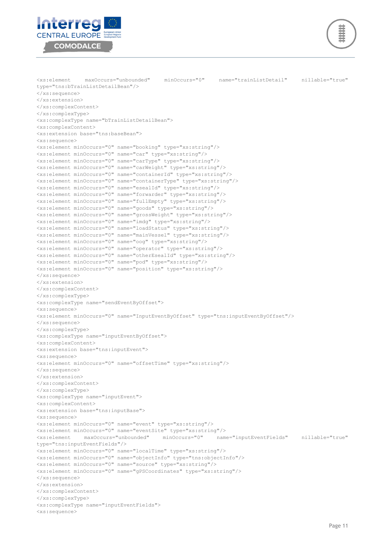



```
<xs:element maxOccurs="unbounded" minOccurs="0" name="trainListDetail" nillable="true" 
type="tns:bTrainListDetailBean"/>
</xs:sequence>
</xs:extension>
</xs:complexContent>
</xs:complexType>
<xs:complexType name="bTrainListDetailBean">
<xs:complexContent>
<xs:extension base="tns:baseBean">
<xs:sequence>
<xs:element minOccurs="0" name="booking" type="xs:string"/>
<xs:element minOccurs="0" name="car" type="xs:string"/>
<xs:element minOccurs="0" name="carType" type="xs:string"/>
<xs:element minOccurs="0" name="carWeight" type="xs:string"/>
<xs:element minOccurs="0" name="containerId" type="xs:string"/>
<xs:element minOccurs="0" name="containerType" type="xs:string"/>
<xs:element minOccurs="0" name="esealId" type="xs:string"/>
<xs:element minOccurs="0" name="forwarder" type="xs:string"/>
<xs:element minOccurs="0" name="fullEmpty" type="xs:string"/>
<xs:element minOccurs="0" name="goods" type="xs:string"/>
<xs:element minOccurs="0" name="grossWeight" type="xs:string"/>
<xs:element minOccurs="0" name="imdg" type="xs:string"/>
<xs:element minOccurs="0" name="loadStatus" type="xs:string"/>
<xs:element minOccurs="0" name="mainVessel" type="xs:string"/>
<xs:element minOccurs="0" name="oog" type="xs:string"/>
<xs:element minOccurs="0" name="operator" type="xs:string"/>
<xs:element minOccurs="0" name="otherEsealId" type="xs:string"/>
<xs:element minOccurs="0" name="pod" type="xs:string"/>
<xs:element minOccurs="0" name="position" type="xs:string"/>
</xs:sequence>
</xs:extension>
</xs:complexContent>
</xs:complexType>
<xs:complexType name="sendEventByOffset">
<xs:sequence>
<xs:element minOccurs="0" name="InputEventByOffset" type="tns:inputEventByOffset"/>
</xs:sequence>
</xs:complexType>
<xs:complexType name="inputEventByOffset">
<xs:complexContent>
<xs:extension base="tns:inputEvent">
<xs:sequence>
<xs:element minOccurs="0" name="offsetTime" type="xs:string"/>
</xs:sequence>
</xs:extension>
</xs:complexContent>
</xs:complexType>
<xs:complexType name="inputEvent">
<xs:complexContent>
<xs:extension base="tns:inputBase">
<xs:sequence>
<xs:element minOccurs="0" name="event" type="xs:string"/>
<xs:element minOccurs="0" name="eventSite" type="xs:string"/>
<xs:element maxOccurs="unbounded" minOccurs="0" name="inputEventFields" nillable="true" 
type="tns:inputEventFields"/>
<xs:element minOccurs="0" name="localTime" type="xs:string"/>
<xs:element minOccurs="0" name="objectInfo" type="tns:objectInfo"/>
<xs:element minOccurs="0" name="source" type="xs:string"/>
<xs:element minOccurs="0" name="gPSCoordinates" type="xs:string"/>
</xs:sequence>
</xs:extension>
</xs:complexContent>
</xs:complexType>
<xs:complexType name="inputEventFields">
<xs:sequence>
```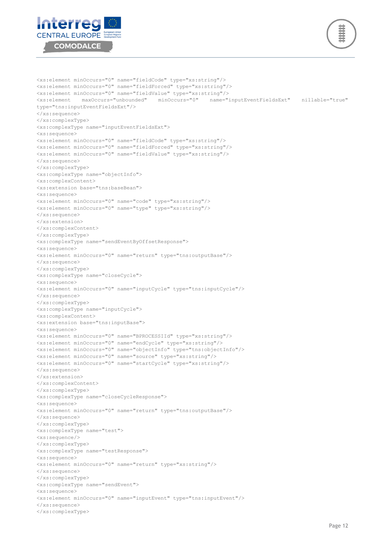



<xs:element minOccurs="0" name="fieldCode" type="xs:string"/> <xs:element minOccurs="0" name="fieldForced" type="xs:string"/> <xs:element minOccurs="0" name="fieldValue" type="xs:string"/> <xs:element maxOccurs="unbounded" minOccurs="0" name="inputEventFieldsExt" nillable="true" type="tns:inputEventFieldsExt"/> </xs:sequence> </xs:complexType> <xs:complexType name="inputEventFieldsExt"> <xs:sequence> <xs:element minOccurs="0" name="fieldCode" type="xs:string"/> <xs:element minOccurs="0" name="fieldForced" type="xs:string"/> <xs:element minOccurs="0" name="fieldValue" type="xs:string"/> </xs:sequence> </xs:complexType> <xs:complexType name="objectInfo"> <xs:complexContent> <xs:extension base="tns:baseBean"> <xs:sequence> <xs:element minOccurs="0" name="code" type="xs:string"/> <xs:element minOccurs="0" name="type" type="xs:string"/> </xs:sequence> </xs:extension> </xs:complexContent> </xs:complexType> <xs:complexType name="sendEventByOffsetResponse"> <xs:sequence> <xs:element minOccurs="0" name="return" type="tns:outputBase"/> </xs:sequence> </xs:complexType> <xs:complexType name="closeCycle"> <xs:sequence> <xs:element minOccurs="0" name="inputCycle" type="tns:inputCycle"/> </xs:sequence> </xs:complexType> <xs:complexType name="inputCycle"> <xs:complexContent> <xs:extension base="tns:inputBase"> <xs:sequence> <xs:element minOccurs="0" name="BPROCESSIId" type="xs:string"/> <xs:element minOccurs="0" name="endCycle" type="xs:string"/> <xs:element minOccurs="0" name="objectInfo" type="tns:objectInfo"/> <xs:element minOccurs="0" name="source" type="xs:string"/> <xs:element minOccurs="0" name="startCycle" type="xs:string"/> </xs:sequence> </xs:extension> </xs:complexContent> </xs:complexType> <xs:complexType name="closeCycleResponse"> <xs:sequence> <xs:element minOccurs="0" name="return" type="tns:outputBase"/> </xs:sequence> </xs:complexType> <xs:complexType name="test"> <xs:sequence/> </xs:complexType> <xs:complexType name="testResponse"> <xs:sequence> <xs:element minOccurs="0" name="return" type="xs:string"/> </xs:sequence> </xs:complexType> <xs:complexType name="sendEvent"> <xs:sequence> <xs:element minOccurs="0" name="inputEvent" type="tns:inputEvent"/> </xs:sequence> </xs:complexType>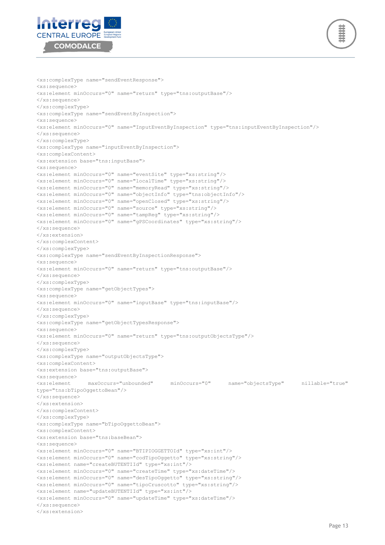



```
<xs:complexType name="sendEventResponse">
<xs:sequence>
<xs:element minOccurs="0" name="return" type="tns:outputBase"/>
</xs:sequence>
</xs:complexType>
<xs:complexType name="sendEventByInspection">
<xs:sequence>
<xs:element minOccurs="0" name="InputEventByInspection" type="tns:inputEventByInspection"/>
</xs:sequence>
</xs:complexType>
<xs:complexType name="inputEventByInspection">
<xs:complexContent>
<xs:extension base="tns:inputBase">
<xs:sequence>
<xs:element minOccurs="0" name="eventSite" type="xs:string"/>
<xs:element minOccurs="0" name="localTime" type="xs:string"/>
<xs:element minOccurs="0" name="memoryRead" type="xs:string"/>
<xs:element minOccurs="0" name="objectInfo" type="tns:objectInfo"/>
<xs:element minOccurs="0" name="openClosed" type="xs:string"/>
<xs:element minOccurs="0" name="source" type="xs:string"/>
<xs:element minOccurs="0" name="tampReg" type="xs:string"/>
<xs:element minOccurs="0" name="gPSCoordinates" type="xs:string"/>
</xs:sequence>
</xs:extension>
</xs:complexContent>
</xs:complexType>
<xs:complexType name="sendEventByInspectionResponse">
<xs:sequence>
<xs:element minOccurs="0" name="return" type="tns:outputBase"/>
</xs:sequence>
</xs:complexType>
<xs:complexType name="getObjectTypes">
<xs:sequence>
<xs:element minOccurs="0" name="inputBase" type="tns:inputBase"/>
</xs:sequence>
</xs:complexType>
<xs:complexType name="getObjectTypesResponse">
<xs:sequence>
<xs:element minOccurs="0" name="return" type="tns:outputObjectsType"/>
</xs:sequence>
</xs:complexType>
<xs:complexType name="outputObjectsType">
<xs:complexContent>
<xs:extension base="tns:outputBase">
<xs:sequence>
<xs:element maxOccurs="unbounded" minOccurs="0" name="objectsType" nillable="true" 
type="tns:bTipoOggettoBean"/>
</xs:sequence>
</xs:extension>
</xs:complexContent>
</xs:complexType>
<xs:complexType name="bTipoOggettoBean">
<xs:complexContent>
<xs:extension base="tns:baseBean">
<xs:sequence>
<xs:element minOccurs="0" name="BTIPIOGGETTOId" type="xs:int"/>
<xs:element minOccurs="0" name="codTipoOggetto" type="xs:string"/>
<xs:element name="createBUTENTIId" type="xs:int"/>
<xs:element minOccurs="0" name="createTime" type="xs:dateTime"/>
<xs:element minOccurs="0" name="desTipoOggetto" type="xs:string"/>
<xs:element minOccurs="0" name="tipoCruscotto" type="xs:string"/>
<xs:element name="updateBUTENTIId" type="xs:int"/>
<xs:element minOccurs="0" name="updateTime" type="xs:dateTime"/>
</xs:sequence>
</xs:extension>
```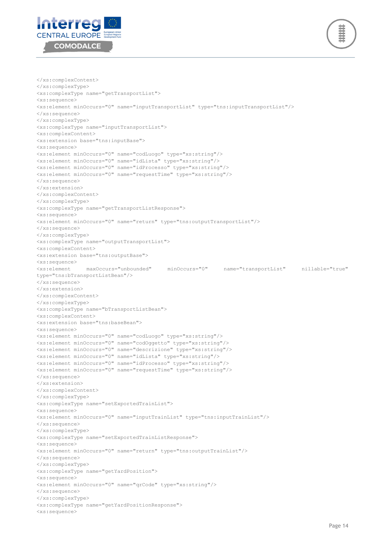



```
</xs:complexContent>
</xs:complexType>
<xs:complexType name="getTransportList">
<xs:sequence>
<xs:element minOccurs="0" name="inputTransportList" type="tns:inputTransportList"/>
</xs:sequence>
</xs:complexType>
<xs:complexType name="inputTransportList">
<xs:complexContent>
<xs:extension base="tns:inputBase">
<xs:sequence>
<xs:element minOccurs="0" name="codLuogo" type="xs:string"/>
<xs:element minOccurs="0" name="idLista" type="xs:string"/>
<xs:element minOccurs="0" name="idProcesso" type="xs:string"/>
<xs:element minOccurs="0" name="requestTime" type="xs:string"/>
</xs:sequence>
</xs:extension>
</xs:complexContent>
</xs:complexType>
<xs:complexType name="getTransportListResponse">
<xs:sequence>
<xs:element minOccurs="0" name="return" type="tns:outputTransportList"/>
</xs:sequence>
</xs:complexType>
<xs:complexType name="outputTransportList">
<xs:complexContent>
<xs:extension base="tns:outputBase">
<xs:sequence>
<xs:element maxOccurs="unbounded" minOccurs="0" name="transportList" nillable="true" 
type="tns:bTransportListBean"/>
</xs:sequence>
</xs:extension>
</xs:complexContent>
</xs:complexType>
<xs:complexType name="bTransportListBean">
<xs:complexContent>
<xs:extension base="tns:baseBean">
<xs:sequence>
<xs:element minOccurs="0" name="codLuogo" type="xs:string"/>
<xs:element minOccurs="0" name="codOggetto" type="xs:string"/>
<xs:element minOccurs="0" name="descrizione" type="xs:string"/>
<xs:element minOccurs="0" name="idLista" type="xs:string"/>
<xs:element minOccurs="0" name="idProcesso" type="xs:string"/>
<xs:element minOccurs="0" name="requestTime" type="xs:string"/>
</xs:sequence>
</xs:extension>
</xs:complexContent>
</xs:complexType>
<xs:complexType name="setExportedTrainList">
<xs:sequence>
<xs:element minOccurs="0" name="inputTrainList" type="tns:inputTrainList"/>
</xs:sequence>
</xs:complexType>
<xs:complexType name="setExportedTrainListResponse">
<xs:sequence>
<xs:element minOccurs="0" name="return" type="tns:outputTrainList"/>
</xs:sequence>
</xs:complexType>
<xs:complexType name="getYardPosition">
<xs:sequence>
<xs:element minOccurs="0" name="qrCode" type="xs:string"/>
</xs:sequence>
</xs:complexType>
<xs:complexType name="getYardPositionResponse">
<xs:sequence>
```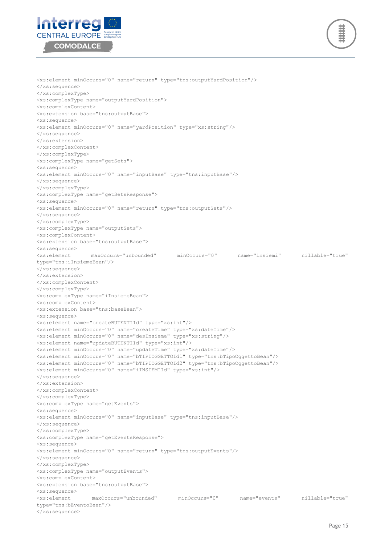



<xs:element minOccurs="0" name="return" type="tns:outputYardPosition"/> </xs:sequence> </xs:complexType> <xs:complexType name="outputYardPosition"> <xs:complexContent> <xs:extension base="tns:outputBase"> <xs:sequence> <xs:element minOccurs="0" name="yardPosition" type="xs:string"/> </xs:sequence> </xs:extension> </xs:complexContent> </xs:complexType> <xs:complexType name="getSets"> <xs:sequence> <xs:element minOccurs="0" name="inputBase" type="tns:inputBase"/> </xs:sequence> </xs:complexType> <xs:complexType name="getSetsResponse"> <xs:sequence> <xs:element minOccurs="0" name="return" type="tns:outputSets"/> </xs:sequence> </xs:complexType> <xs:complexType name="outputSets"> <xs:complexContent> <xs:extension base="tns:outputBase"> <xs:sequence> <xs:element maxOccurs="unbounded" minOccurs="0" name="insiemi" nillable="true" type="tns:iInsiemeBean"/> </xs:sequence> </xs:extension> </xs:complexContent> </xs:complexType> <xs:complexType name="iInsiemeBean"> <xs:complexContent> <xs:extension base="tns:baseBean"> <xs:sequence> <xs:element name="createBUTENTIId" type="xs:int"/> <xs:element minOccurs="0" name="createTime" type="xs:dateTime"/> <xs:element minOccurs="0" name="desInsieme" type="xs:string"/> <xs:element name="updateBUTENTIId" type="xs:int"/> <xs:element minOccurs="0" name="updateTime" type="xs:dateTime"/> <xs:element minOccurs="0" name="bTIPIOGGETTOId1" type="tns:bTipoOggettoBean"/> <xs:element minOccurs="0" name="bTIPIOGGETTOId2" type="tns:bTipoOggettoBean"/> <xs:element minOccurs="0" name="iINSIEMIId" type="xs:int"/> </xs:sequence> </xs:extension> </xs:complexContent> </xs:complexType> <xs:complexType name="getEvents"> <xs:sequence> <xs:element minOccurs="0" name="inputBase" type="tns:inputBase"/> </xs:sequence> </xs:complexType> <xs:complexType name="getEventsResponse"> <xs:sequence> <xs:element minOccurs="0" name="return" type="tns:outputEvents"/> </xs:sequence> </xs:complexType> <xs:complexType name="outputEvents"> <xs:complexContent> <xs:extension base="tns:outputBase"> <xs:sequence> <xs:element maxOccurs="unbounded" minOccurs="0" name="events" nillable="true" type="tns:bEventoBean"/> </xs:sequence>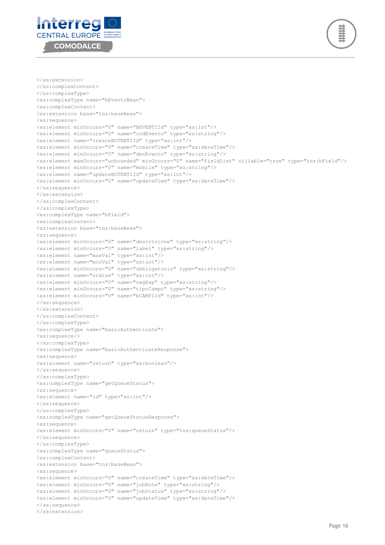



```
</xs:extension>
</xs:complexContent>
</xs:complexType>
<xs:complexType name="bEventoBean">
<xs:complexContent>
<xs:extension base="tns:baseBean">
<xs:sequence>
<xs:element minOccurs="0" name="BEVENTIId" type="xs:int"/>
<xs:element minOccurs="0" name="codEvento" type="xs:string"/>
<xs:element name="createBUTENTIId" type="xs:int"/>
<xs:element minOccurs="0" name="createTime" type="xs:dateTime"/>
<xs:element minOccurs="0" name="desEvento" type="xs:string"/>
<xs:element maxOccurs="unbounded" minOccurs="0" name="fieldList" nillable="true" type="tns:bField"/>
<xs:element minOccurs="0" name="mobile" type="xs:string"/>
<xs:element name="updateBUTENTIId" type="xs:int"/>
<xs:element minOccurs="0" name="updateTime" type="xs:dateTime"/>
</xs:sequence>
</xs:extension>
</xs:complexContent>
</xs:complexType>
<xs:complexType name="bField">
<xs:complexContent>
<xs:extension base="tns:baseBean">
<xs:sequence>
<xs:element minOccurs="0" name="descrizione" type="xs:string"/>
<xs:element minOccurs="0" name="label" type="xs:string"/>
<xs:element name="maxVal" type="xs:int"/>
<xs:element name="minVal" type="xs:int"/>
<xs:element minOccurs="0" name="obbligatorio" type="xs:string"/>
<xs:element name="ordine" type="xs:int"/>
<xs:element minOccurs="0" name="regExp" type="xs:string"/>
<xs:element minOccurs="0" name="tipoCampo" type="xs:string"/>
<xs:element minOccurs="0" name="bCAMPIId" type="xs:int"/>
</xs:sequence>
</xs:extension>
</xs:complexContent>
</xs:complexType>
<xs:complexType name="basicAuthenticate">
<xs:sequence/>
</xs:complexType>
<xs:complexType name="basicAuthenticateResponse">
<xs:sequence>
<xs:element name="return" type="xs:boolean"/>
</xs:sequence>
</xs:complexType>
<xs:complexType name="getQueueStatus">
<xs:sequence>
<xs:element name="id" type="xs:int"/>
</xs:sequence>
</xs:complexType>
<xs:complexType name="getQueueStatusResponse">
<xs:sequence>
<xs:element minOccurs="0" name="return" type="tns:queueStatus"/>
</xs:sequence>
</xs:complexType>
<xs:complexType name="queueStatus">
<xs:complexContent>
<xs:extension base="tns:baseBean">
<xs:sequence>
<xs:element minOccurs="0" name="createTime" type="xs:dateTime"/>
<xs:element minOccurs="0" name="jobNote" type="xs:string"/>
<xs:element minOccurs="0" name="jobStatus" type="xs:string"/>
<xs:element minOccurs="0" name="updateTime" type="xs:dateTime"/>
</xs:sequence>
</xs:extension>
```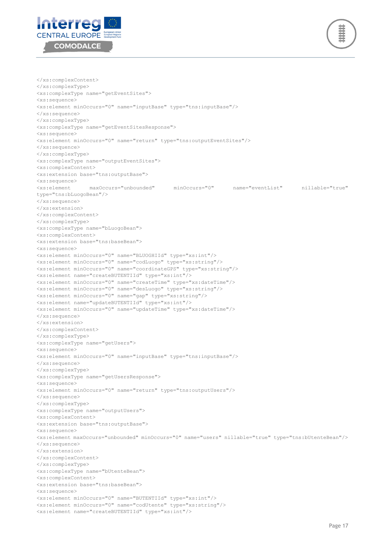



</xs:complexContent> </xs:complexType> <xs:complexType name="getEventSites"> <xs:sequence> <xs:element minOccurs="0" name="inputBase" type="tns:inputBase"/> </xs:sequence> </xs:complexType> <xs:complexType name="getEventSitesResponse"> <xs:sequence> <xs:element minOccurs="0" name="return" type="tns:outputEventSites"/> </xs:sequence> </xs:complexType> <xs:complexType name="outputEventSites"> <xs:complexContent> <xs:extension base="tns:outputBase"> <xs:sequence> <xs:element maxOccurs="unbounded" minOccurs="0" name="eventList" nillable="true" type="tns:bLuogoBean"/> </xs:sequence> </xs:extension> </xs:complexContent> </xs:complexType> <xs:complexType name="bLuogoBean"> <xs:complexContent> <xs:extension base="tns:baseBean"> <xs:sequence> <xs:element minOccurs="0" name="BLUOGHIId" type="xs:int"/> <xs:element minOccurs="0" name="codLuogo" type="xs:string"/> <xs:element minOccurs="0" name="coordinateGPS" type="xs:string"/> <xs:element name="createBUTENTIId" type="xs:int"/> <xs:element minOccurs="0" name="createTime" type="xs:dateTime"/> <xs:element minOccurs="0" name="desLuogo" type="xs:string"/> <xs:element minOccurs="0" name="gap" type="xs:string"/> <xs:element name="updateBUTENTIId" type="xs:int"/> <xs:element minOccurs="0" name="updateTime" type="xs:dateTime"/> </xs:sequence> </xs:extension> </xs:complexContent> </xs:complexType> <xs:complexType name="getUsers"> <xs:sequence> <xs:element minOccurs="0" name="inputBase" type="tns:inputBase"/> </xs:sequence> </xs:complexType> <xs:complexType name="getUsersResponse"> <xs:sequence> <xs:element minOccurs="0" name="return" type="tns:outputUsers"/> </xs:sequence> </xs:complexType> <xs:complexType name="outputUsers"> <xs:complexContent> <xs:extension base="tns:outputBase"> <xs:sequence> <xs:element maxOccurs="unbounded" minOccurs="0" name="users" nillable="true" type="tns:bUtenteBean"/> </xs:sequence> </xs:extension> </xs:complexContent> </xs:complexType> <xs:complexType name="bUtenteBean"> <xs:complexContent> <xs:extension base="tns:baseBean"> <xs:sequence> <xs:element minOccurs="0" name="BUTENTIId" type="xs:int"/> <xs:element minOccurs="0" name="codUtente" type="xs:string"/> <xs:element name="createBUTENTIId" type="xs:int"/>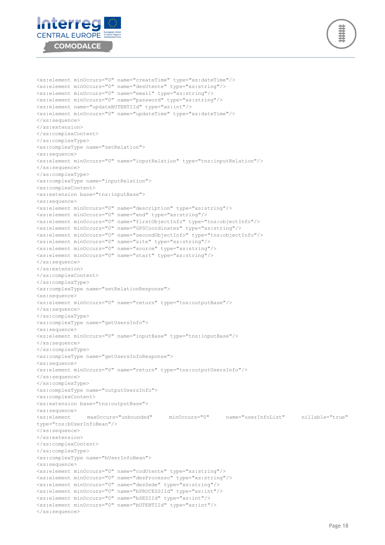



<xs:element minOccurs="0" name="createTime" type="xs:dateTime"/> <xs:element minOccurs="0" name="desUtente" type="xs:string"/> <xs:element minOccurs="0" name="email" type="xs:string"/> <xs:element minOccurs="0" name="password" type="xs:string"/> <xs:element name="updateBUTENTIId" type="xs:int"/> <xs:element minOccurs="0" name="updateTime" type="xs:dateTime"/> </xs:sequence> </xs:extension> </xs:complexContent> </xs:complexType> <xs:complexType name="setRelation"> <xs:sequence> <xs:element minOccurs="0" name="inputRelation" type="tns:inputRelation"/> </xs:sequence> </xs:complexType> <xs:complexType name="inputRelation"> <xs:complexContent> <xs:extension base="tns:inputBase"> <xs:sequence> <xs:element minOccurs="0" name="description" type="xs:string"/> <xs:element minOccurs="0" name="end" type="xs:string"/> <xs:element minOccurs="0" name="firstObjectInfo" type="tns:objectInfo"/> <xs:element minOccurs="0" name="GPSCoordinates" type="xs:string"/> <xs:element minOccurs="0" name="secondObjectInfo" type="tns:objectInfo"/> <xs:element minOccurs="0" name="site" type="xs:string"/> <xs:element minOccurs="0" name="source" type="xs:string"/> <xs:element minOccurs="0" name="start" type="xs:string"/> </xs:sequence> </xs:extension> </xs:complexContent> </xs:complexType> <xs:complexType name="setRelationResponse"> <xs:sequence> <xs:element minOccurs="0" name="return" type="tns:outputBase"/> </xs:sequence> </xs:complexType> <xs:complexType name="getUsersInfo"> <xs:sequence> <xs:element minOccurs="0" name="inputBase" type="tns:inputBase"/> </xs:sequence> </xs:complexType> <xs:complexType name="getUsersInfoResponse"> <xs:sequence> <xs:element minOccurs="0" name="return" type="tns:outputUsersInfo"/> </xs:sequence> </xs:complexType> <xs:complexType name="outputUsersInfo"> <xs:complexContent> <xs:extension base="tns:outputBase"> <xs:sequence> <xs:element maxOccurs="unbounded" minOccurs="0" name="userInfoList" nillable="true" type="tns:bUserInfoBean"/> </xs:sequence> </xs:extension> </xs:complexContent> </xs:complexType> <xs:complexType name="bUserInfoBean"> <xs:sequence> <xs:element minOccurs="0" name="codUtente" type="xs:string"/> <xs:element minOccurs="0" name="desProcesso" type="xs:string"/> <xs:element minOccurs="0" name="desSede" type="xs:string"/> <xs:element minOccurs="0" name="bPROCESSIId" type="xs:int"/> <xs:element minOccurs="0" name="bSEDIId" type="xs:int"/> <xs:element minOccurs="0" name="bUTENTIId" type="xs:int"/> </xs:sequence>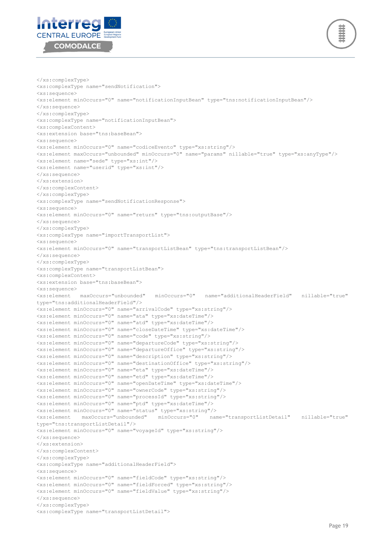



```
</xs:complexType>
<xs:complexType name="sendNotification">
<xs:sequence>
<xs:element minOccurs="0" name="notificationInputBean" type="tns:notificationInputBean"/>
</xs:sequence>
</xs:complexType>
<xs:complexType name="notificationInputBean">
<xs:complexContent>
<xs:extension base="tns:baseBean">
<xs:sequence>
<xs:element minOccurs="0" name="codiceEvento" type="xs:string"/>
<xs:element maxOccurs="unbounded" minOccurs="0" name="params" nillable="true" type="xs:anyType"/>
<xs:element name="sede" type="xs:int"/>
<xs:element name="userid" type="xs:int"/>
</xs:sequence>
</xs:extension>
</xs:complexContent>
</xs:complexType>
<xs:complexType name="sendNotificationResponse">
<xs:sequence>
<xs:element minOccurs="0" name="return" type="tns:outputBase"/>
</xs:sequence>
</xs:complexType>
<xs:complexType name="importTransportList">
<xs:sequence>
<xs:element minOccurs="0" name="transportListBean" type="tns:transportListBean"/>
</xs:sequence>
</xs:complexType>
<xs:complexType name="transportListBean">
<xs:complexContent>
<xs:extension base="tns:baseBean">
<xs:sequence>
<xs:element maxOccurs="unbounded" minOccurs="0" name="additionalHeaderField" nillable="true" 
type="tns:additionalHeaderField"/>
<xs:element minOccurs="0" name="arrivalCode" type="xs:string"/>
<xs:element minOccurs="0" name="ata" type="xs:dateTime"/>
<xs:element minOccurs="0" name="atd" type="xs:dateTime"/>
<xs:element minOccurs="0" name="closeDateTime" type="xs:dateTime"/>
<xs:element minOccurs="0" name="code" type="xs:string"/>
<xs:element minOccurs="0" name="departureCode" type="xs:string"/>
<xs:element minOccurs="0" name="departureOffice" type="xs:string"/>
<xs:element minOccurs="0" name="description" type="xs:string"/>
<xs:element minOccurs="0" name="destinationOffice" type="xs:string"/>
<xs:element minOccurs="0" name="eta" type="xs:dateTime"/>
<xs:element minOccurs="0" name="etd" type="xs:dateTime"/>
<xs:element minOccurs="0" name="openDateTime" type="xs:dateTime"/>
<xs:element minOccurs="0" name="ownerCode" type="xs:string"/>
<xs:element minOccurs="0" name="processId" type="xs:string"/>
<xs:element minOccurs="0" name="ptd" type="xs:dateTime"/>
<xs:element minOccurs="0" name="status" type="xs:string"/>
<xs:element maxOccurs="unbounded" minOccurs="0" name="transportListDetail" nillable="true" 
type="tns:transportListDetail"/>
<xs:element minOccurs="0" name="voyageId" type="xs:string"/>
</xs:sequence>
</xs:extension>
</xs:complexContent>
</xs:complexType>
<xs:complexType name="additionalHeaderField">
<xs:sequence>
<xs:element minOccurs="0" name="fieldCode" type="xs:string"/>
<xs:element minOccurs="0" name="fieldForced" type="xs:string"/>
<xs:element minOccurs="0" name="fieldValue" type="xs:string"/>
</xs:sequence>
</xs:complexType>
<xs:complexType name="transportListDetail">
```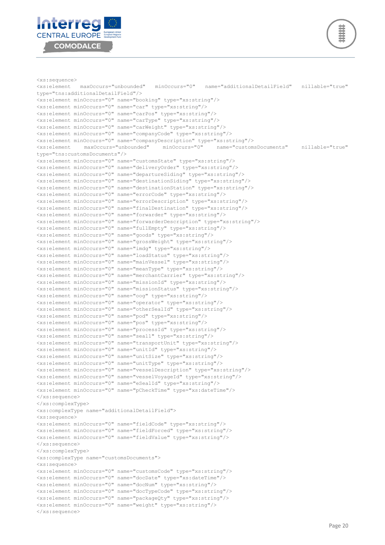



</xs:sequence>